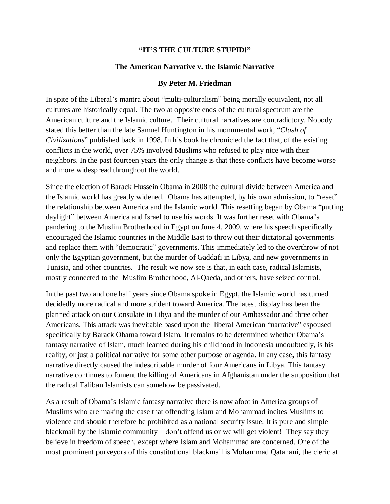## **"IT'S THE CULTURE STUPID!"**

## **The American Narrative v. the Islamic Narrative**

## **By Peter M. Friedman**

In spite of the Liberal's mantra about "multi-culturalism" being morally equivalent, not all cultures are historically equal. The two at opposite ends of the cultural spectrum are the American culture and the Islamic culture. Their cultural narratives are contradictory. Nobody stated this better than the late Samuel Huntington in his monumental work, "*Clash of Civilizations*" published back in 1998. In his book he chronicled the fact that, of the existing conflicts in the world, over 75% involved Muslims who refused to play nice with their neighbors. In the past fourteen years the only change is that these conflicts have become worse and more widespread throughout the world.

Since the election of Barack Hussein Obama in 2008 the cultural divide between America and the Islamic world has greatly widened. Obama has attempted, by his own admission, to "reset" the relationship between America and the Islamic world. This resetting began by Obama "putting daylight" between America and Israel to use his words. It was further reset with Obama's pandering to the Muslim Brotherhood in Egypt on June 4, 2009, where his speech specifically encouraged the Islamic countries in the Middle East to throw out their dictatorial governments and replace them with "democratic" governments. This immediately led to the overthrow of not only the Egyptian government, but the murder of Gaddafi in Libya, and new governments in Tunisia, and other countries. The result we now see is that, in each case, radical Islamists, mostly connected to the Muslim Brotherhood, Al-Qaeda, and others, have seized control.

In the past two and one half years since Obama spoke in Egypt, the Islamic world has turned decidedly more radical and more strident toward America. The latest display has been the planned attack on our Consulate in Libya and the murder of our Ambassador and three other Americans. This attack was inevitable based upon the liberal American "narrative" espoused specifically by Barack Obama toward Islam. It remains to be determined whether Obama's fantasy narrative of Islam, much learned during his childhood in Indonesia undoubtedly, is his reality, or just a political narrative for some other purpose or agenda. In any case, this fantasy narrative directly caused the indescribable murder of four Americans in Libya. This fantasy narrative continues to foment the killing of Americans in Afghanistan under the supposition that the radical Taliban Islamists can somehow be passivated.

As a result of Obama's Islamic fantasy narrative there is now afoot in America groups of Muslims who are making the case that offending Islam and Mohammad incites Muslims to violence and should therefore be prohibited as a national security issue. It is pure and simple blackmail by the Islamic community – don't offend us or we will get violent! They say they believe in freedom of speech, except where Islam and Mohammad are concerned. One of the most prominent purveyors of this constitutional blackmail is Mohammad Qatanani, the cleric at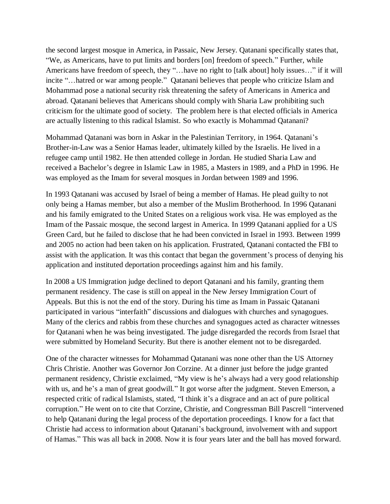the second largest mosque in America, in Passaic, New Jersey. Qatanani specifically states that, "We, as Americans, have to put limits and borders [on] freedom of speech." Further, while Americans have freedom of speech, they "…have no right to [talk about] holy issues…" if it will incite "…hatred or war among people." Qatanani believes that people who criticize Islam and Mohammad pose a national security risk threatening the safety of Americans in America and abroad. Qatanani believes that Americans should comply with Sharia Law prohibiting such criticism for the ultimate good of society. The problem here is that elected officials in America are actually listening to this radical Islamist. So who exactly is Mohammad Qatanani?

Mohammad Qatanani was born in Askar in the Palestinian Territory, in 1964. Qatanani's Brother-in-Law was a Senior Hamas leader, ultimately killed by the Israelis. He lived in a refugee camp until 1982. He then attended college in Jordan. He studied Sharia Law and received a Bachelor's degree in Islamic Law in 1985, a Masters in 1989, and a PhD in 1996. He was employed as the Imam for several mosques in Jordan between 1989 and 1996.

In 1993 Qatanani was accused by Israel of being a member of Hamas. He plead guilty to not only being a Hamas member, but also a member of the Muslim Brotherhood. In 1996 Qatanani and his family emigrated to the United States on a religious work visa. He was employed as the Imam of the Passaic mosque, the second largest in America. In 1999 Qatanani applied for a US Green Card, but he failed to disclose that he had been convicted in Israel in 1993. Between 1999 and 2005 no action had been taken on his application. Frustrated, Qatanani contacted the FBI to assist with the application. It was this contact that began the government's process of denying his application and instituted deportation proceedings against him and his family.

In 2008 a US Immigration judge declined to deport Qatanani and his family, granting them permanent residency. The case is still on appeal in the New Jersey Immigration Court of Appeals. But this is not the end of the story. During his time as Imam in Passaic Qatanani participated in various "interfaith" discussions and dialogues with churches and synagogues. Many of the clerics and rabbis from these churches and synagogues acted as character witnesses for Qatanani when he was being investigated. The judge disregarded the records from Israel that were submitted by Homeland Security. But there is another element not to be disregarded.

One of the character witnesses for Mohammad Qatanani was none other than the US Attorney Chris Christie. Another was Governor Jon Corzine. At a dinner just before the judge granted permanent residency, Christie exclaimed, "My view is he's always had a very good relationship with us, and he's a man of great goodwill." It got worse after the judgment. Steven Emerson, a respected critic of radical Islamists, stated, "I think it's a disgrace and an act of pure political corruption." He went on to cite that Corzine, Christie, and Congressman Bill Pascrell "intervened to help Qatanani during the legal process of the deportation proceedings. I know for a fact that Christie had access to information about Qatanani's background, involvement with and support of Hamas." This was all back in 2008. Now it is four years later and the ball has moved forward.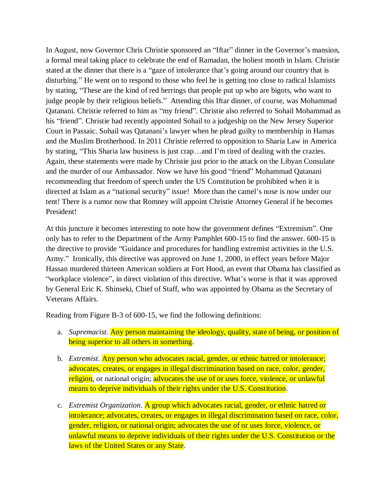In August, now Governor Chris Christie sponsored an "Iftar" dinner in the Governor's mansion, a formal meal taking place to celebrate the end of Ramadan, the holiest month in Islam. Christie stated at the dinner that there is a "gaze of intolerance that's going around our country that is disturbing." He went on to respond to those who feel he is getting too close to radical Islamists by stating, "These are the kind of red herrings that people put up who are bigots, who want to judge people by their religious beliefs." Attending this Iftar dinner, of course, was Mohammad Qatanani. Christie referred to him as "my friend". Christie also referred to Sohail Mohammad as his "friend". Christie had recently appointed Sohail to a judgeship on the New Jersey Superior Court in Passaic. Sohail was Qatanani's lawyer when he plead guilty to membership in Hamas and the Muslim Brotherhood. In 2011 Christie referred to opposition to Sharia Law in America by stating, "This Sharia law business is just crap…and I'm tired of dealing with the crazies. Again, these statements were made by Christie just prior to the attack on the Libyan Consulate and the murder of our Ambassador. Now we have his good "friend" Mohammad Qatanani recommending that freedom of speech under the US Constitution be prohibited when it is directed at Islam as a "national security" issue! More than the camel's nose is now under our tent! There is a rumor now that Romney will appoint Christie Attorney General if he becomes President!

At this juncture it becomes interesting to note how the government defines "Extremism". One only has to refer to the Department of the Army Pamphlet 600-15 to find the answer. 600-15 is the directive to provide "Guidance and procedures for handling extremist activities in the U.S. Army." Ironically, this directive was approved on June 1, 2000, in effect years before Major Hassan murdered thirteen American soldiers at Fort Hood, an event that Obama has classified as "workplace violence", in direct violation of this directive. What's worse is that it was approved by General Eric K. Shinseki, Chief of Staff, who was appointed by Obama as the Secretary of Veterans Affairs.

Reading from Figure B-3 of 600-15, we find the following definitions:

- a. *Supremacist*. Any person maintaining the ideology, quality, state of being, or position of being superior to all others in something.
- b. *Extremist*. Any person who advocates racial, gender, or ethnic hatred or intolerance; advocates, creates, or engages in illegal discrimination based on race, color, gender, religion, or national origin; advocates the use of or uses force, violence, or unlawful means to deprive individuals of their rights under the U.S. Constitution.
- c. *Extremist Organization*. A group which advocates racial, gender, or ethnic hatred or intolerance; advocates, creates, or engages in illegal discrimination based on race, color, gender, religion, or national origin; advocates the use of or uses force, violence, or unlawful means to deprive individuals of their rights under the U.S. Constitution or the laws of the United States or any State.